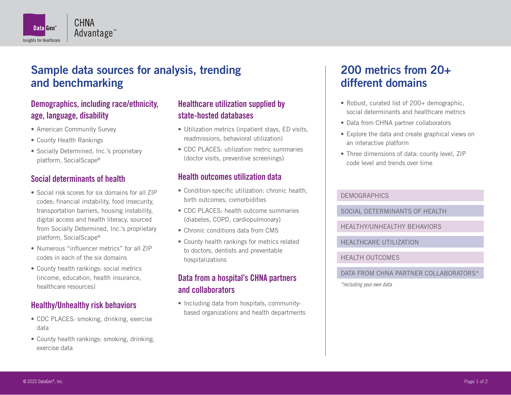

# Sample data sources for analysis, trending and benchmarking

# **Demographics, including race/ethnicity, age, language, disability**

- American Community Survey
- County Health Rankings
- Socially Determined, Inc.'s proprietary platform, SocialScape®

# **Social determinants of health**

- Social risk scores for six domains for all ZIP codes: financial instability, food insecurity, transportation barriers, housing instability, digital access and health literacy, sourced from Socially Determined, Inc.'s proprietary platform, SocialScape®
- Numerous "influencer metrics" for all ZIP codes in each of the six domains
- County health rankings: social metrics (income, education, health insurance, healthcare resources)

# **Healthy/Unhealthy risk behaviors**

- CDC PLACES: smoking, drinking, exercise data
- County health rankings: smoking, drinking, exercise data

# **Healthcare utilization supplied by state-hosted databases**

- Utilization metrics (inpatient stays, ED visits, readmissions, behavioral utilization)
- CDC PLACES: utilization metric summaries (doctor visits, preventive screenings)

### **Health outcomes utilization data**

- Condition-specific utilization: chronic health, birth outcomes, comorbidities
- CDC PLACES: health outcome summaries (diabetes, COPD, cardiopulmonary)
- Chronic conditions data from CMS
- County health rankings for metrics related to doctors, dentists and preventable hospitalizations

# **Data from a hospital's CHNA partners and collaborators**

• Including data from hospitals, communitybased organizations and health departments

# 200 metrics from 20+ different domains

- Robust, curated list of 200+ demographic, social determinants and healthcare metrics
- Data from CHNA partner collaborators
- Explore the data and create graphical views on an interactive platform
- Three dimensions of data: county level, ZIP code level and trends over time

#### **DEMOGRAPHICS**

SOCIAL DETERMINANTS OF HEALTH

HEALTHY/UNHEALTHY BEHAVIORS

HEALTHCARE UTILIZATION

HEALTH OUTCOMES

DATA FROM CHNA PARTNER COLLABORATORS\*

*\*including your own data*